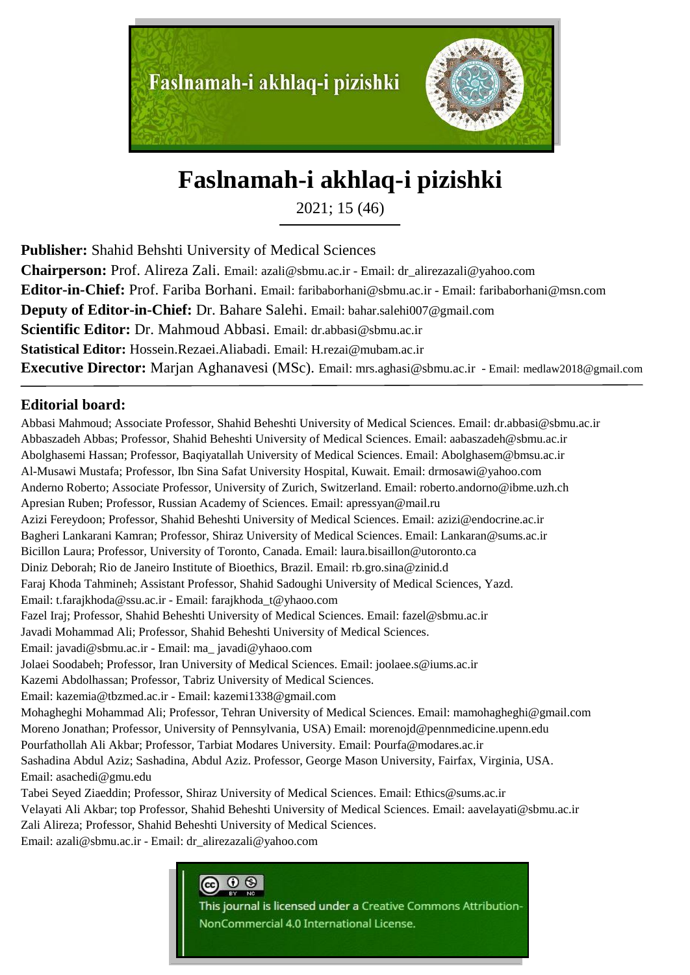

# **Faslnamah-i akhlaq-i pizishki**

2021; 15 (46)

**Publisher:** Shahid Behshti University of Medical Sciences

**Chairperson:** Prof. Alireza Zali. Email: azali@sbmu.ac.ir - Email: dr\_alirezazali@yahoo.com **Editor-in-Chief:** Prof. Fariba Borhani. Email: faribaborhani@sbmu.ac.ir - Email: faribaborhani@msn.com **Deputy of Editor-in-Chief:** Dr. Bahare Salehi. Email: bahar.salehi007@gmail.com **Scientific Editor:** Dr. Mahmoud Abbasi. Email: dr.abbasi@sbmu.ac.ir **Statistical Editor:** Hossein.Rezaei.Aliabadi. Email: H.rezai@mubam.ac.ir **Executive Director:** Marjan Aghanavesi (MSc). Email: mrs.aghasi@sbmu.ac.ir - Email: medlaw2018@gmail.com

### **Editorial board:**

Abbasi Mahmoud; Associate Professor, Shahid Beheshti University of Medical Sciences. Email: dr.abbasi@sbmu.ac.ir Abbaszadeh Abbas; Professor, Shahid Beheshti University of Medical Sciences. Email: aabaszadeh@sbmu.ac.ir Abolghasemi Hassan; Professor, Baqiyatallah University of Medical Sciences. Email: Abolghasem@bmsu.ac.ir Al-Musawi Mustafa; Professor, Ibn Sina Safat University Hospital, Kuwait. Email: drmosawi@yahoo.com Anderno Roberto; Associate Professor, University of Zurich, Switzerland. Email: roberto.andorno@ibme.uzh.ch Apresian Ruben; Professor, Russian Academy of Sciences. Email: apressyan@mail.ru Azizi Fereydoon; Professor, Shahid Beheshti University of Medical Sciences. Email: azizi@endocrine.ac.ir Bagheri Lankarani Kamran; Professor, Shiraz University of Medical Sciences. Email: Lankaran@sums.ac.ir Bicillon Laura; Professor, University of Toronto, Canada. Email: laura.bisaillon@utoronto.ca Diniz Deborah; Rio de Janeiro Institute of Bioethics, Brazil. Email: rb.gro.sina@zinid.d Faraj Khoda Tahmineh; Assistant Professor, Shahid Sadoughi University of Medical Sciences, Yazd. Email: t.farajkhoda@ssu.ac.ir - Email: farajkhoda\_t@yhaoo.com Fazel Iraj; Professor, Shahid Beheshti University of Medical Sciences. Email: fazel@sbmu.ac.ir Javadi Mohammad Ali; Professor, Shahid Beheshti University of Medical Sciences. Email: javadi@sbmu.ac.ir - Email: ma\_ javadi@yhaoo.com Jolaei Soodabeh; Professor, Iran University of Medical Sciences. Email: joolaee.s@iums.ac.ir Kazemi Abdolhassan; Professor, Tabriz University of Medical Sciences. Email: kazemia@tbzmed.ac.ir - Email: kazemi1338@gmail.com Mohagheghi Mohammad Ali; Professor, Tehran University of Medical Sciences. Email: mamohagheghi@gmail.com Moreno Jonathan; Professor, University of Pennsylvania, USA) Email: morenojd@pennmedicine.upenn.edu Pourfathollah Ali Akbar; Professor, Tarbiat Modares University. Email: Pourfa@modares.ac.ir Sashadina Abdul Aziz; Sashadina, Abdul Aziz. Professor, George Mason University, Fairfax, Virginia, USA. Email: asachedi@gmu.edu Tabei Seyed Ziaeddin; Professor, Shiraz University of Medical Sciences. Email: Ethics@sums.ac.ir Velayati Ali Akbar; top Professor, Shahid Beheshti University of Medical Sciences. Email: aavelayati@sbmu.ac.ir

Zali Alireza; Professor, Shahid Beheshti University of Medical Sciences.

Email: azali@sbmu.ac.ir - Email: dr\_alirezazali@yahoo.com



This journal is licensed under a Creative Commons Attribution-NonCommercial 4.0 International License.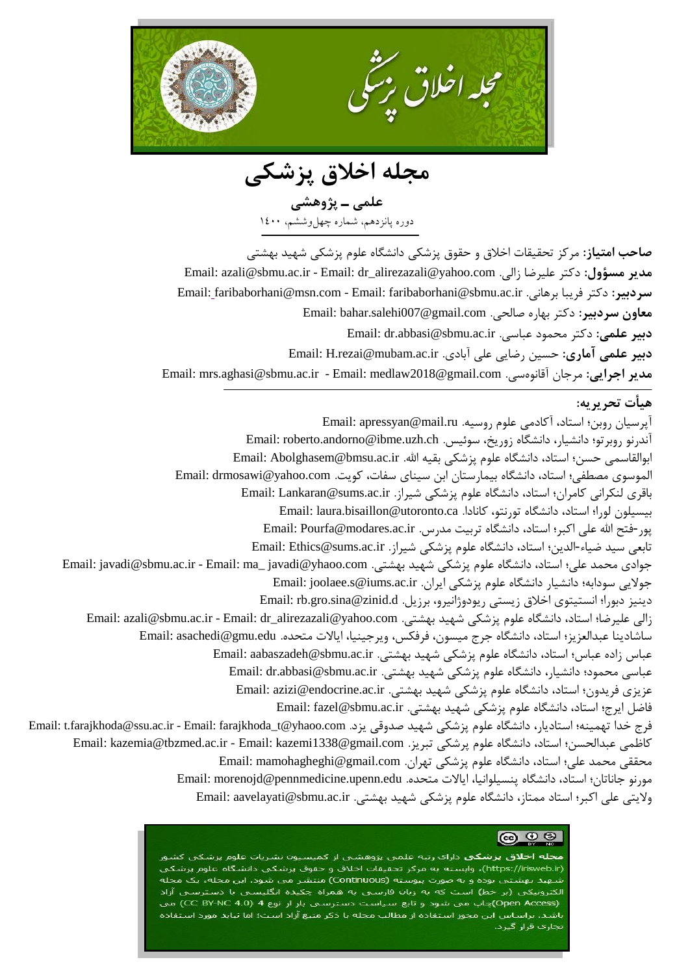

**مجلٍ اخالق پششکی**

**علمی ـ پژيَشی** دوره پانزدهم، شماره چهلوششم، ۱٤۰۰

<mark>صاحب امتیاز:</mark> مرکز تحقیقات اخلاق و حقوق پزشکی دانشگاه علوم پزشکی شهید بهشتی Email: azali@sbmu.ac.ir - Email: dr\_alirezazali@yahoo.com .زالی علیرضا دکتر **:مسؤيل مدیز** Email: faribaborhani@msn.com - Email: faribaborhani@sbmu.ac.ir .اویَبر فریبا دکتر **:سزدبیز** معاون سردبیر: دکتر بها<sub>د</sub>ه صالحی. Email: bahar.salehi007@gmail.com **دبیز علمی:** دکتر محمًد عباسی. ir.ac.sbmu@abbasi.dr :Email **دبیز علمی آماری:** حسیه رضایی علی آبادی. ir.ac.mubam@rezai.H :Email Email: mrs.aghasi@sbmu.ac.ir - Email: medlaw2018@gmail.com .سیًٌآقاو مرجان **:اجزایی مدیز**

#### **َیأت تحزیزی:ٍ**

آپرسیان روبن؛ استاد، آکادمی علوم روسیه. Email: apressyan@mail.ru آندرنو روبرتو؛ دانشیار، دانشگاه زوریخ، سوئیس. Email: roberto.andorno@ibme.uzh.ch ابوالقاسمی حسن؛ استاد، دانشگاه علوم پزشکی بقیه الله. Email: Abolghasem@bmsu.ac.ir الموسوی مصطفى؛ استاد، دانشگاه بیمارستان ابن سینای سفات، کویت. Email: drmosawi@yahoo.com باقری لنکرانی کامران؛ استاد، دانشگاه علوم پزشکی شیراز. Email: Lankaran@sums.ac.ir بیسیلون لورا؛ استاد، دانشگاه تورنتو، کانادا. Email: laura.bisaillon@utoronto.ca پور-فتح الله علی اکبر؛ استاد، دانشگاه تربیت مدرس. Email: Pourfa@modares.ac.ir تابعی سید ضیاء-الدین؛ استاد، دانشگاه علوم پزشکی شیراز. Email: Ethics@sums.ac.ir جوادی محمد علی؛ استاد، دانشگاه علوم پزشکی شهید بهشتی. Email: javadi@sbmu.ac.ir - Email: ma\_ javadi@yhaoo.com جولایی سودابه؛ دانشیار دانشگاه علوم پزشکی ایران. Email: joolaee.s@iums.ac.ir دینیز دبورا؛ انستیتوی اخلاق زیستی ریودوژانیرو، برزیل. Email: rb.gro.sina@zinid.d زالی علیرضا؛ استاد، دانشگاه علوم پزشکی شهید بهشتی. Email: azali@sbmu.ac.ir - Email: dr\_alirezazali@yahoo.com ساشادینا عبدالعزیز؛ استاد، دانشگاه جرج میسون، فرفکس، ویرجینیا، ایالات متحده. Email: asachedi@gmu.edu عباس زاده عباس؛ استاد، دانشگاه علوم پزشکی شهید بهشتی. Email: aabaszadeh@sbmu.ac.ir عباسی محمود؛ دانشیار، دانشگاه علوم پزشکی شهید بهشتی. Email: dr.abbasi@sbmu.ac.ir عزیزی فریدون؛ استاد، دانشگاه علوم پزشکی شهید بهشتی. Email: azizi@endocrine.ac.ir فاضل ایرج؛ استاد، دانشگاه علوم پزشکی شهید بهشتی. Email: fazel@sbmu.ac.ir فرج خدا تهمینه؛ استادیار، دانشگاه علوم پزشکی شهید صدوقی یزد. Email: t.farajkhoda@ssu.ac.ir - Email: farajkhoda\_t@yhaoo.com Email: kazemia@tbzmed.ac.ir - Email: kazemi1338@gmail.com . بریز . Email: kazemia@tbzmed.ac.ir - Email: kazemi محققی محمد علی؛ استاد، دانشگاه علوم پزشکی تهران. Email: mamohagheghi@gmail.com مورنو جاناتان؛ استاد، دانشگاه پنسیلوانیا، ایالات متحده. Email: morenojd@pennmedicine.upenn.edu ولايتی علی اکبر؛ استاد ممتاز، دانشگاه علوم پزشکی شهید بهشتی. Email: aavelayati@sbmu.ac.ir

#### **@ 0 9**

<mark>مجله اخلاق بزشکی</mark> دارای رتبه علمی بژوهشی از کمیسیون نشریات علوم بزشکی کشور (https://irisweb.ir)، وابسته به مرکز تحقیقات اخلاق و حقوق پزشکی دانشگاه علوم پزشکی شـهید بهشتی بوده و به صورت پیوسته (Continuous) منتشر می شود. این مجله، یک مجله الکترونیکی (بر خط) است که به زبان فارسی به همراه چکیده انگلیسی با دسترسی آزاد (Open Access)چاپ می شود و تابع سیاست دسترستی باز از نوع CC BY-NC 4.0) می باشد. براساس این مجوز استفاده از مطالب مجله با ذکر منبع آزاد است؛ اما نباید مورد استفاده تجاری قرار گیرد.